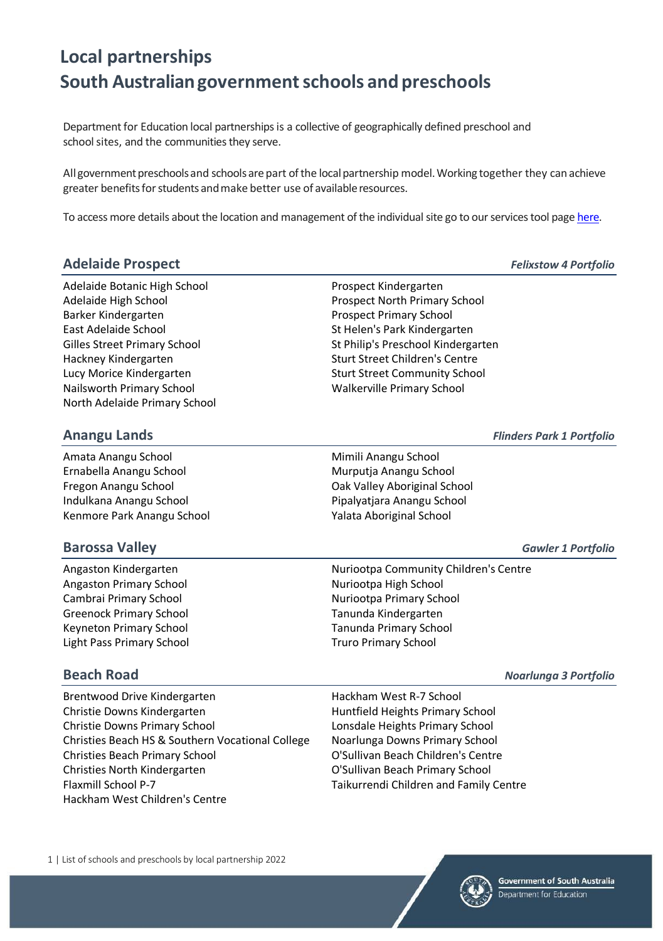Department for Education local partnerships is a collective of geographically defined preschool and school sites, and the communities they serve.

All government preschools and schools are part of the local partnership model. Working together they can achieve greater benefits for students and make better use of available resources.

To access more details about the location and management of the individual site go to our services tool pag[e here.](https://www.education.sa.gov.au/sites-and-facilities/education-and-care-locations/find-other-services) 

### **Adelaide Prospect** *Felixstow 4 Portfolio*

Adelaide Botanic High School **Prospect Kindergarten** Adelaide High School Prospect North Primary School Barker Kindergarten **Prospect Primary School** East Adelaide School St Helen's Park Kindergarten Hackney Kindergarten Sturt Street Children's Centre Lucy Morice Kindergarten Sturt Street Community School Community School Nailsworth Primary School Walkerville Primary School North Adelaide Primary School

Gilles Street Primary School Stephen Stephen Stephen Stephen Stephen Stephen Stephen Stephen Stephen Stephen S

### **Anangu Lands** *Flinders Park 1 Portfolio*

Amata Anangu School **Mimili Anangu School** Mimili Anangu School Ernabella Anangu School **Murputia Anangu School** Murputia Anangu School Fregon Anangu School Oak Valley Aboriginal School Indulkana Anangu School Pipalyatjara Anangu School Kenmore Park Anangu School Yalata Aboriginal School

### **Barossa Valley** *Gawler 1 Portfolio*

Angaston Primary School Nuriootpa High School Nuriootpa High School Cambrai Primary School **Nuriootpa Primary School** Nuriootpa Primary School Greenock Primary School Tanunda Kindergarten Keyneton Primary School Tanunda Primary School Light Pass Primary School Truro Primary School

Angaston Kindergarten Nuriootpa Community Children's Centre

Brentwood Drive Kindergarten Hackham West R-7 School Christie Downs Kindergarten **Huntfield Heights Primary School** Christie Downs Primary School Lonsdale Heights Primary School Christies Beach HS & Southern Vocational College Noarlunga Downs Primary School Christies Beach Primary School O'Sullivan Beach Children's Centre Christies North Kindergarten O'Sullivan Beach Primary School Flaxmill School P-7 Taikurrendi Children and Family Centre Hackham West Children's Centre

**Beach Road** *Noarlunga 3 Portfolio*

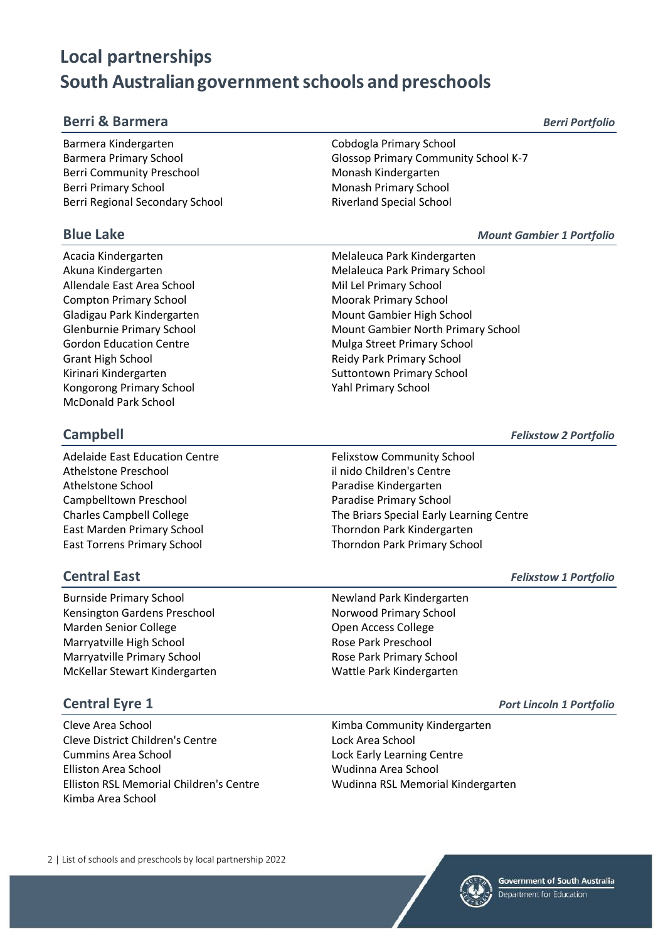### **Berri & Barmera** *Berri Portfolio*

Barmera Kindergarten Cobdogla Primary School Berri Community Preschool Monash Kindergarten Berri Primary School Monash Primary School Berri Regional Secondary School **Riverland Special School** Riverland Special School

Allendale East Area School Mil Lel Primary School Compton Primary School Moorak Primary School Moorak Primary School Gladigau Park Kindergarten Mount Gambier High School Gordon Education Centre **Mulga Street Primary School** Grant High School **Grant High School** Reidy Park Primary School Kirinari Kindergarten Suttontown Primary School Kongorong Primary School **Yahl Primary School** Yahl Primary School McDonald Park School

Adelaide East Education Centre Felixstow Community School Athelstone Preschool il nido Children's Centre Athelstone School Paradise Kindergarten Campbelltown Preschool **Paradise Primary School** Paradise Primary School East Marden Primary School Thorndon Park Kindergarten East Torrens Primary School Thorndon Park Primary School

Burnside Primary School Newland Park Kindergarten Kensington Gardens Preschool Norwood Primary School Marden Senior College **Open Access College** Open Access College Marryatville High School **Rose Park Preschool** Rose Park Preschool Marryatville Primary School **Rose Park Primary School** McKellar Stewart Kindergarten McKellar Stewart Kindergarten

Cleve Area School **Cleve Area School** Cleve Area School **Kimba Community Kindergarten** Cleve District Children's Centre Lock Area School Cummins Area School **Lock Early Learning Centre** Elliston Area School Wudinna Area School Elliston RSL Memorial Children's Centre Wudinna RSL Memorial Kindergarten Kimba Area School

2 | List of schools and preschools by local partnership 2022

Barmera Primary School **Glossop Primary Community School K-7** 

### **Blue Lake** *Mount Gambier 1 Portfolio*

Acacia Kindergarten Melaleuca Park Kindergarten Melaleuca Park Kindergarten Akuna Kindergarten Melaleuca Park Primary School Glenburnie Primary School **Mount Gambier North Primary School** Mount Gambier North Primary School

**Campbell** *Felixstow 2 Portfolio*

Charles Campbell College The Briars Special Early Learning Centre

**Central East** *Felixstow 1 Portfolio*

### **Central Eyre 1** *Port Lincoln 1 Portfolio*

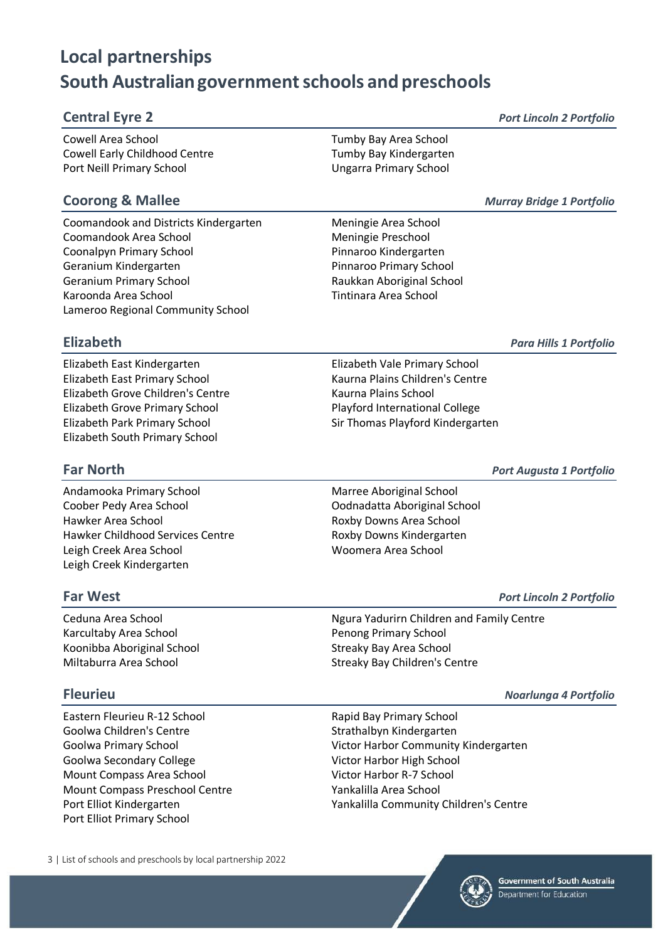### **Central Eyre 2** *Port Lincoln 2 Portfolio*

Cowell Area School Tumby Bay Area School Cowell Early Childhood Centre Tumby Bay Kindergarten Port Neill Primary School **Vancouver Control** Ungarra Primary School

Coomandook and Districts Kindergarten Meningie Area School Coomandook Area School Meningie Preschool Coonalpyn Primary School **Pinnaroo Kindergarten** Geranium Kindergarten **Pinnaroo Primary School** Geranium Primary School **Raukkan Aboriginal School** Raukkan Aboriginal School Karoonda Area School **Tintinara Area School** Lameroo Regional Community School

**Coorong & Mallee** *Murray Bridge 1 Portfolio*

### **Elizabeth** *Para Hills 1 Portfolio*

Elizabeth East Kindergarten Elizabeth Vale Primary School Elizabeth East Primary School Kaurna Plains Children's Centre Elizabeth Grove Children's Centre Kaurna Plains School Elizabeth Grove Primary School Playford International College Elizabeth Park Primary School Sir Thomas Playford Kindergarten Elizabeth South Primary School

**Far North** *Port Augusta 1 Portfolio*

Andamooka Primary School Marree Aboriginal School Coober Pedy Area School Oodnadatta Aboriginal School Hawker Area School **Roxby Downs Area School** Hawker Childhood Services Centre **Roxby Downs Kindergarten** Leigh Creek Area School Woomera Area School Leigh Creek Kindergarten

Karcultaby Area School **Penong Primary School** Penong Primary School Koonibba Aboriginal School Streaky Bay Area School Streaky Bay Area School

Eastern Fleurieu R-12 School **Rapid Bay Primary School** Goolwa Children's Centre Strathalbyn Kindergarten Goolwa Secondary College Victor Harbor High School Mount Compass Area School Victor Harbor R-7 School Mount Compass Preschool Centre Yankalilla Area School Port Elliot Primary School

**Far West** *Port Lincoln 2 Portfolio*

Ceduna Area School Ngura Yadurirn Children and Family Centre Miltaburra Area School Streaky Bay Children's Centre

**Fleurieu** *Noarlunga 4 Portfolio*

Goolwa Primary School Victor Harbor Community Kindergarten Port Elliot Kindergarten Yankalilla Community Children's Centre

3 | List of schools and preschools by local partnership 2022

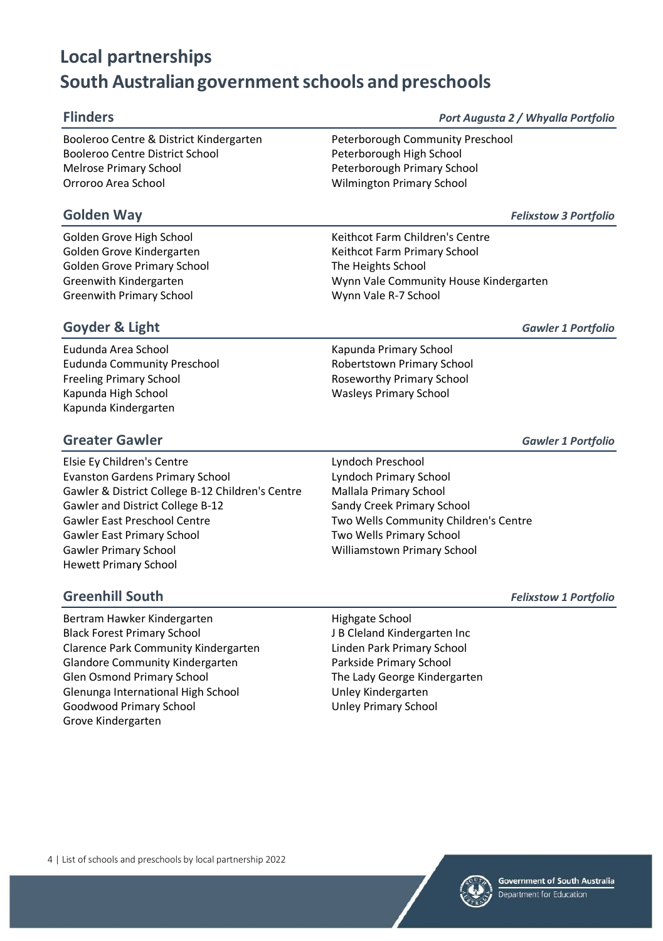**Flinders** *Port Augusta 2 / Whyalla Portfolio*

Booleroo Centre & District Kindergarten Peterborough Community Preschool Booleroo Centre District School **Peterborough High School** Melrose Primary School Peterborough Primary School Orroroo Area School Wilmington Primary School

Golden Grove Primary School The Heights School Greenwith Primary School Wynn Vale R-7 School

**Golden Way** *Felixstow 3 Portfolio*

Golden Grove High School **Keithcot Farm Children's Centre** Golden Grove Kindergarten Keithcot Farm Primary School Greenwith Kindergarten Wynn Vale Community House Kindergarten

### **Goyder & Light** *Gawler 1 Portfolio*

Eudunda Area School **Kapunda Primary School** Kapunda Primary School Eudunda Community Preschool **Robertstown Primary School** Freeling Primary School **Roseworthy Primary School** Roseworthy Primary School Kapunda High School Wasleys Primary School Kapunda Kindergarten

### **Greater Gawler** *Gawler 1 Portfolio*

Elsie Ey Children's Centre Lyndoch Preschool Evanston Gardens Primary School Lyndoch Primary School Gawler & District College B-12 Children's Centre Mallala Primary School Gawler and District College B-12 Sandy Creek Primary School Gawler East Preschool Centre Two Wells Community Children's Centre Gawler East Primary School **Two Wells Primary School** Gawler Primary School Williamstown Primary School Hewett Primary School

Bertram Hawker Kindergarten Highgate School Black Forest Primary School J B Cleland Kindergarten Inc Clarence Park Community Kindergarten Linden Park Primary School Glandore Community Kindergarten Parkside Primary School Glen Osmond Primary School The Lady George Kindergarten Glenunga International High School Unley Kindergarten Goodwood Primary School **Example 20 Server Accord Unley Primary School** Grove Kindergarten

**Greenhill South** *Felixstow 1 Portfolio*

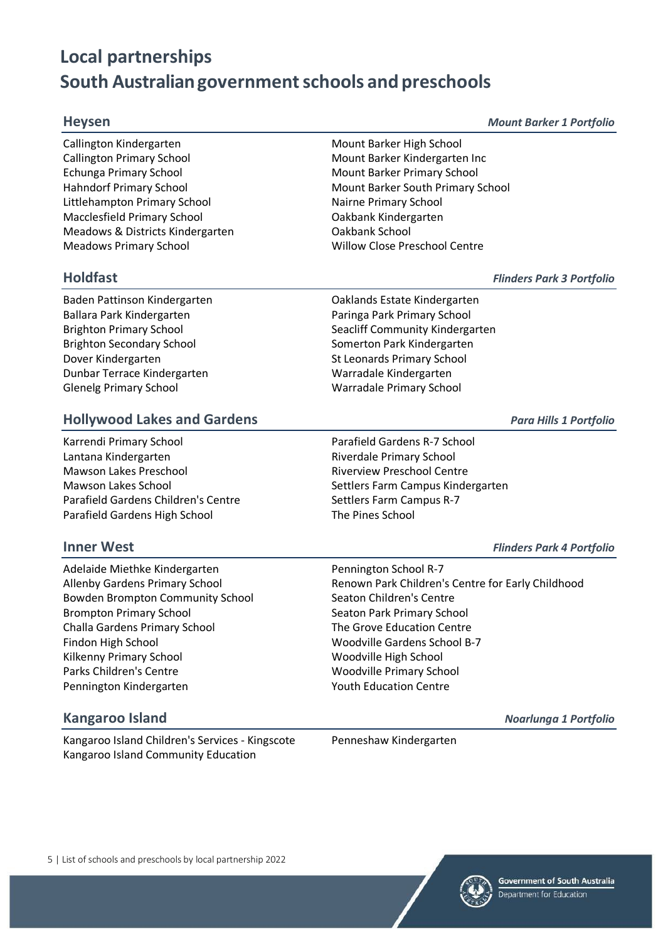### **Heysen** *Mount Barker 1 Portfolio*

Callington Kindergarten Mount Barker High School Callington Primary School Mount Barker Kindergarten Inc Echunga Primary School **Mount Barker Primary School** Mount Barker Primary School Littlehampton Primary School Nairne Primary School Macclesfield Primary School Oakbank Kindergarten Meadows & Districts Kindergarten **Cakbank School** Meadows Primary School Willow Close Preschool Centre

Baden Pattinson Kindergarten **Calculary Care and Calcular Calculary Calculary Calculary Calculary Calculary Calculary Calculary Calculary Calculary Calculary Calculary Calculary Calculary Calculary Calculary Calculary Calc** Ballara Park Kindergarten **Paringa Park Primary School** Brighton Secondary School Somerton Park Kindergarten Dover Kindergarten St Leonards Primary School Dunbar Terrace Kindergarten Warradale Kindergarten Glenelg Primary School Warradale Primary School

Hahndorf Primary School **Mount Barker South Primary School** Mount Barker South Primary School

**Holdfast** *Flinders Park 3 Portfolio*

Brighton Primary School Seacliff Community Kindergarten

### **Hollywood Lakes and Gardens** *Para Hills 1 Portfolio*

Karrendi Primary School Parafield Gardens R-7 School Lantana Kindergarten **Riverdale Primary School** Mawson Lakes Preschool **Riverview Preschool Centre** Mawson Lakes School Settlers Farm Campus Kindergarten Parafield Gardens Children's Centre Settlers Farm Campus R-7 Parafield Gardens High School The Pines School

### **Inner West** *Flinders Park 4 Portfolio*

Adelaide Miethke Kindergarten **Pennington School R-7** Allenby Gardens Primary School **Renown Park Children's Centre for Early Childhood** Bowden Brompton Community School Seaton Children's Centre Brompton Primary School Seaton Park Primary School Seaton Park Primary School Challa Gardens Primary School The Grove Education Centre Findon High School Woodville Gardens School B-7 Kilkenny Primary School Woodville High School Parks Children's Centre November 2012 1998 Woodville Primary School Pennington Kindergarten Youth Education Centre

## **Kangaroo Island** *Noarlunga 1 Portfolio*

Kangaroo Island Children's Services - Kingscote Penneshaw Kindergarten Kangaroo Island Community Education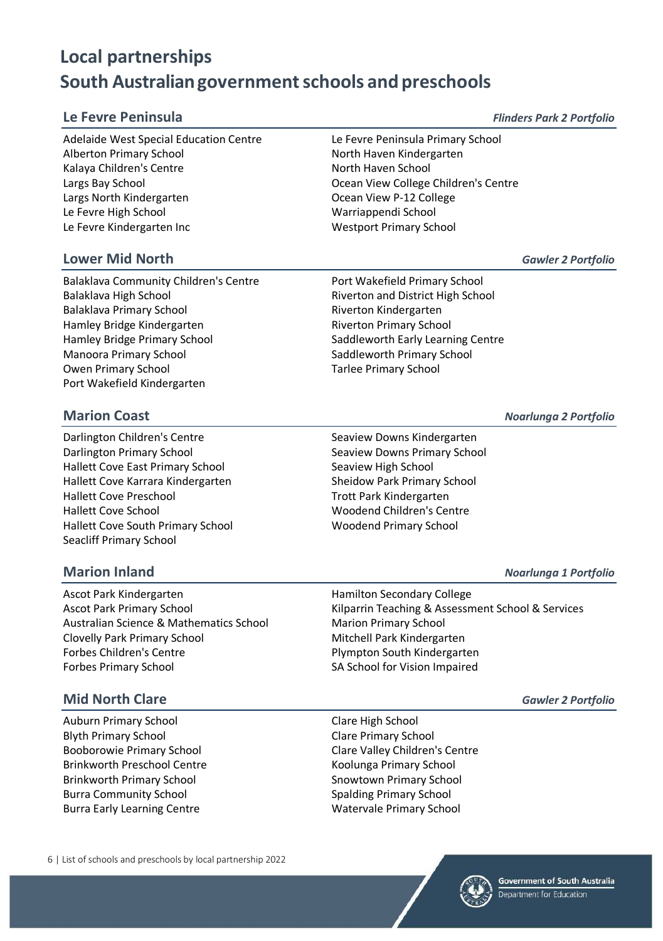Adelaide West Special Education Centre Le Fevre Peninsula Primary School Alberton Primary School North Haven Kindergarten Kalaya Children's Centre North Haven School Largs Bay School Ocean View College Children's Centre Largs North Kindergarten **Communist Communist Communist Communist Communist Communist Communist Communist Communist Communist Communist Communist Communist Communist Communist Communist Communist Communist Communist Commun** Le Fevre High School Warriappendi School Le Fevre Kindergarten Inc Westport Primary School

### **Lower Mid North** *Gawler 2 Portfolio*

Balaklava Community Children's Centre Port Wakefield Primary School Balaklava High School Riverton and District High School Balaklava Primary School **Riverton Kindergarten** Hamley Bridge Kindergarten **Riverton Primary School** Hamley Bridge Primary School Saddleworth Early Learning Centre Manoora Primary School Saddleworth Primary School Saddleworth Primary School Owen Primary School **Tarlee Primary School** Port Wakefield Kindergarten

Darlington Children's Centre Seaview Downs Kindergarten Darlington Primary School **Seaview Downs Primary School** Seaview Downs Primary School Hallett Cove East Primary School Seaview High School Hallett Cove Karrara Kindergarten Sheidow Park Primary School Hallett Cove Preschool and Trott Park Kindergarten Hallett Cove School Woodend Children's Centre Hallett Cove South Primary School Woodend Primary School Seacliff Primary School

Ascot Park Kindergarten **Hamilton Secondary College** Australian Science & Mathematics School Marion Primary School Clovelly Park Primary School Mitchell Park Kindergarten Forbes Children's Centre **Plympton South Kindergarten** Forbes Primary School SA School for Vision Impaired

### **Mid North Clare** *Gawler 2 Portfolio*

Auburn Primary School Clare High School Blyth Primary School Clare Primary School Brinkworth Preschool Centre Koolunga Primary School Brinkworth Primary School Snowtown Primary School Snowtown Primary School Burra Community School Spalding Primary School Spalding Primary School Burra Early Learning Centre Watervale Primary School

6 | List of schools and preschools by local partnership 2022

**Marion Coast** *Noarlunga 2 Portfolio*

### **Marion Inland** *Noarlunga 1 Portfolio*

Ascot Park Primary School **Kilparrin Teaching & Assessment School & Services** 

Booborowie Primary School Clare Valley Children's Centre



### **Le Fevre Peninsula** *Flinders Park 2 Portfolio*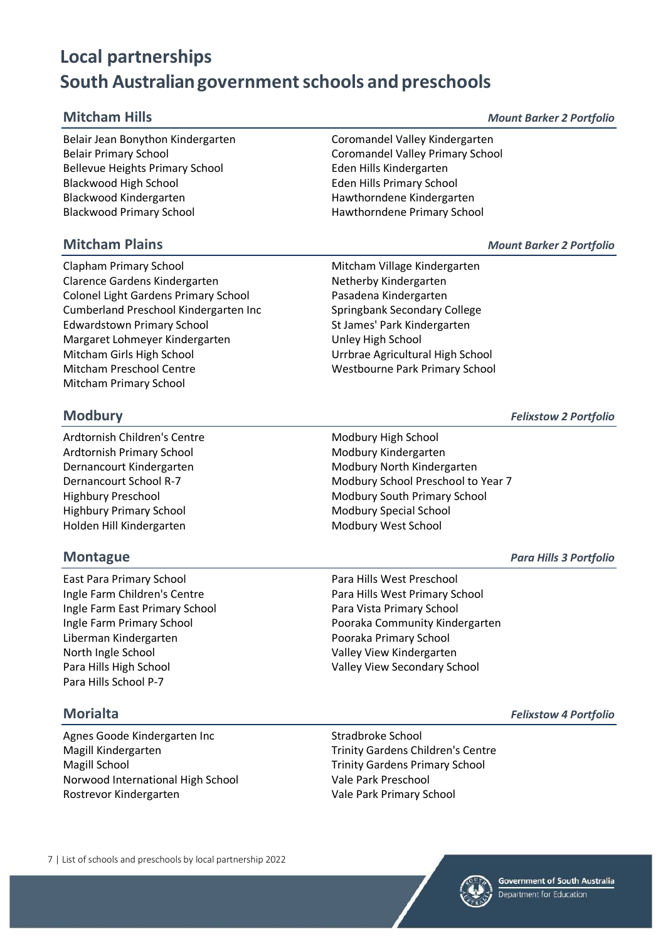Belair Jean Bonython Kindergarten Coromandel Valley Kindergarten Belair Primary School Coromandel Valley Primary School Bellevue Heights Primary School **Eden Hills Kindergarten** Blackwood High School Eden Hills Primary School Blackwood Kindergarten Manuel Hawthorndene Kindergarten Blackwood Primary School **Hawthorndene Primary School** 

### **Mitcham Plains** *Mount Barker 2 Portfolio*

Clapham Primary School **Mitcham Village Kindergarten** Clarence Gardens Kindergarten Netherby Kindergarten Colonel Light Gardens Primary School Pasadena Kindergarten Cumberland Preschool Kindergarten Inc Springbank Secondary College Edwardstown Primary School St James' Park Kindergarten Margaret Lohmeyer Kindergarten Margaret Unley High School Mitcham Girls High School Urrbrae Agricultural High School Mitcham Preschool Centre Westbourne Park Primary School Mitcham Primary School

Ardtornish Children's Centre Modbury High School Ardtornish Primary School Modbury Kindergarten Highbury Primary School Modbury Special School Holden Hill Kindergarten Modbury West School

East Para Primary School **Para Hills West Preschool** Ingle Farm Children's Centre **Para Hills West Primary School** Ingle Farm East Primary School Para Vista Primary School Liberman Kindergarten **Pooraka Primary School** North Ingle School Valley View Kindergarten Para Hills High School Valley View Secondary School Para Hills School P-7

### **Morialta** *Felixstow 4 Portfolio*

Agnes Goode Kindergarten Inc Stradbroke School Magill Kindergarten Trinity Gardens Children's Centre Magill School Trinity Gardens Primary School Norwood International High School Vale Park Preschool Rostrevor Kindergarten Vale Park Primary School

7 | List of schools and preschools by local partnership 2022

**Modbury** *Felixstow 2 Portfolio*

Dernancourt Kindergarten Modbury North Kindergarten Dernancourt School R-7 Modbury School Preschool to Year 7 Highbury Preschool **Modbury South Primary School** Modbury South Primary School

**Montague** *Para Hills 3 Portfolio*

Ingle Farm Primary School Pooraka Community Kindergarten



**Mitcham Hills** *Mount Barker 2 Portfolio*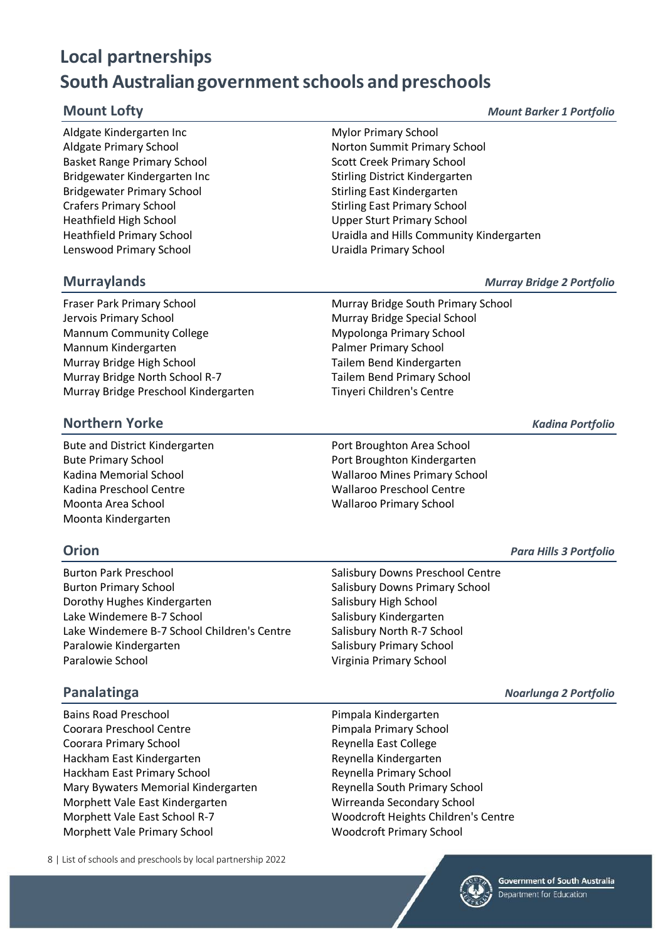Aldgate Kindergarten Inc **Mylor Primary School** Basket Range Primary School Scott Creek Primary School Bridgewater Kindergarten Inc Stirling District Kindergarten Bridgewater Primary School Stirling East Kindergarten Crafers Primary School Stirling East Primary School Heathfield High School Upper Sturt Primary School Lenswood Primary School **Lenswood Primary School** 

Aldgate Primary School Norton Summit Primary School Heathfield Primary School Uraidla and Hills Community Kindergarten

### **Murraylands** *Murray Bridge 2 Portfolio*

Fraser Park Primary School Murray Bridge South Primary School Jervois Primary School Murray Bridge Special School Mannum Community College Mypolonga Primary School Mannum Kindergarten Palmer Primary School Palmer Primary School Murray Bridge High School **Tailem Bend Kindergarten** Murray Bridge North School R-7 Tailem Bend Primary School Murray Bridge Preschool Kindergarten Tinyeri Children's Centre

### **Northern Yorke** *Kadina Portfolio*

Bute and District Kindergarten **Port Broughton Area School** Bute Primary School **Primary School** Port Broughton Kindergarten Kadina Preschool Centre Wallaroo Preschool Centre Moonta Area School Wallaroo Primary School Moonta Kindergarten

# Kadina Memorial School Wallaroo Mines Primary School

Burton Park Preschool **Salisbury Downs Preschool Centre** Burton Primary School **Salisbury Downs Primary School** Salisbury Downs Primary School Dorothy Hughes Kindergarten Salisbury High School Lake Windemere B-7 School Salisbury Kindergarten Lake Windemere B-7 School Children's Centre Salisbury North R-7 School Paralowie Kindergarten Salisbury Primary School Paralowie School **Paralowie School** Virginia Primary School

Bains Road Preschool **Pimpala Kindergarten** Coorara Preschool Centre **Pimpala Primary School** Coorara Primary School **Reynella East College** Hackham East Kindergarten Reynella Kindergarten Hackham East Primary School Reynella Primary School Mary Bywaters Memorial Kindergarten Reynella South Primary School Morphett Vale East Kindergarten Wirreanda Secondary School Morphett Vale East School R-7 Woodcroft Heights Children's Centre Morphett Vale Primary School Woodcroft Primary School

8 | List of schools and preschools by local partnership 2022

**Orion** *Para Hills 3 Portfolio*

**Panalatinga** *Noarlunga 2 Portfolio*

**Mount Lofty** *Mount Barker 1 Portfolio*

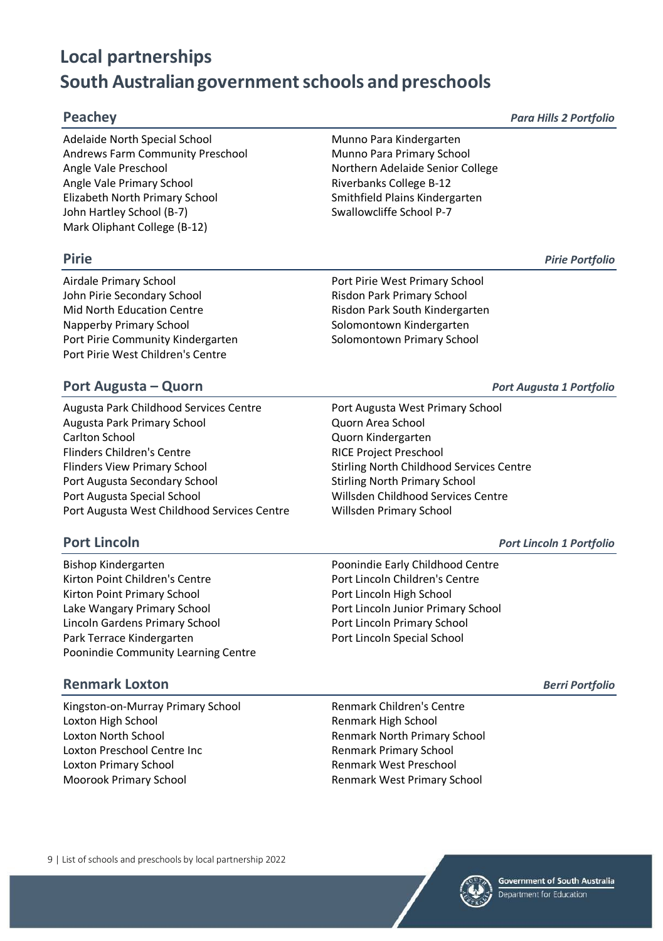Adelaide North Special School **Munno Para Kindergarten** Andrews Farm Community Preschool Munno Para Primary School Angle Vale Preschool Northern Adelaide Senior College Angle Vale Primary School **Riverbanks College B-12** Elizabeth North Primary School Smithfield Plains Kindergarten John Hartley School (B-7) Swallowcliffe School P-7 Mark Oliphant College (B-12)

Airdale Primary School Port Pirie West Primary School John Pirie Secondary School **Risdon Park Primary School** Risdon Park Primary School Mid North Education Centre **Risdon Park South Kindergarten** Napperby Primary School Solomontown Kindergarten Port Pirie Community Kindergarten Solomontown Primary School Port Pirie West Children's Centre

### **Port Augusta – Quorn** *Port Augusta 1 Portfolio*

Augusta Park Childhood Services Centre **Port Augusta West Primary School** Augusta Park Primary School Quorn Area School Carlton School Quorn Kindergarten Flinders Children's Centre **RICE Project Preschool** Flinders View Primary School Stirling North Childhood Services Centre Port Augusta Secondary School Stirling North Primary School Stirling North Primary School Port Augusta Special School Willsden Childhood Services Centre Port Augusta West Childhood Services Centre Willsden Primary School

Bishop Kindergarten Poonindie Early Childhood Centre Kirton Point Children's Centre **Port Lincoln Children's Centre** Kirton Point Primary School Port Lincoln High School Lake Wangary Primary School **Port Lincoln Junior Primary School** Lincoln Gardens Primary School **Port Lincoln Primary School** Port Lincoln Primary School Park Terrace Kindergarten **Port Lincoln Special School** Poonindie Community Learning Centre

### **Renmark Loxton** *Berri Portfolio*

Kingston-on-Murray Primary School Renmark Children's Centre Loxton High School Renmark High School Loxton North School Renmark North Primary School Loxton Preschool Centre Inc **Renmark Primary School** Loxton Primary School Renmark West Preschool Moorook Primary School Renmark West Primary School

**Pirie** *Pirie Portfolio*

### **Port Lincoln** *Port Lincoln 1 Portfolio*



**Peachey** *Para Hills 2 Portfolio*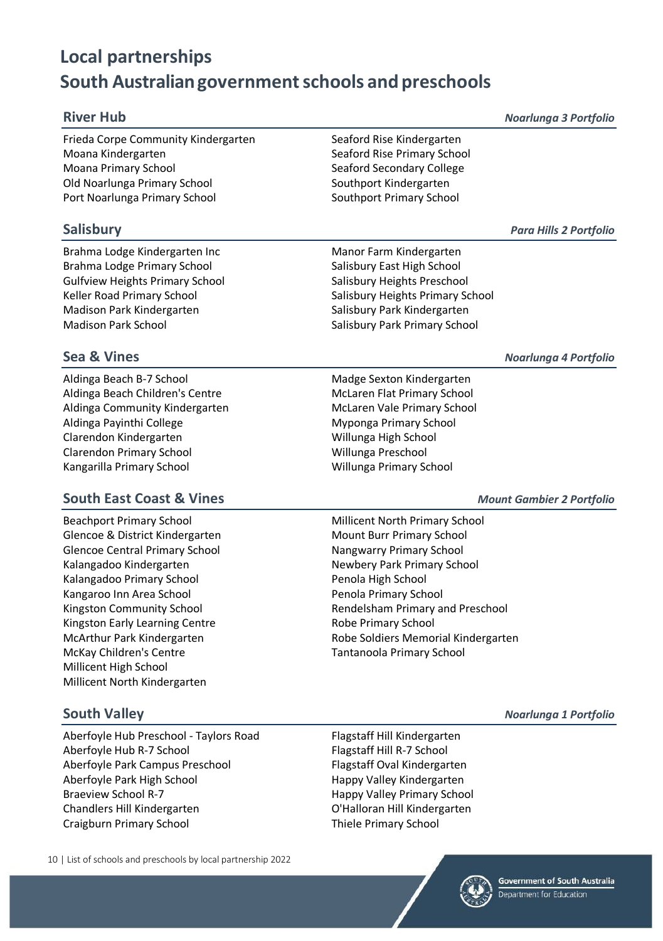Frieda Corpe Community Kindergarten Seaford Rise Kindergarten Moana Kindergarten Seaford Rise Primary School Moana Primary School Seaford Secondary College Old Noarlunga Primary School Southport Kindergarten Port Noarlunga Primary School Southport Primary School

Brahma Lodge Kindergarten Inc **Manor Farm Kindergarten** Brahma Lodge Primary School Salisbury East High School Salisbury East High School Gulfview Heights Primary School Salisbury Heights Preschool Keller Road Primary School Salisbury Heights Primary School Salisbury Heights Primary School Madison Park Kindergarten Salisbury Park Kindergarten Salisbury Park Kindergarten Madison Park School Salisbury Park Primary School Salisbury Park Primary School

Aldinga Beach B-7 School Madge Sexton Kindergarten Aldinga Beach Children's Centre McLaren Flat Primary School Aldinga Community Kindergarten McLaren Vale Primary School Aldinga Payinthi College **Myponga Primary School** Clarendon Kindergarten Willunga High School Clarendon Primary School Willunga Preschool Kangarilla Primary School Willunga Primary School

### **South East Coast & Vines** *Mount Gambier 2 Portfolio*

Beachport Primary School **Millicent North Primary School** Millicent North Primary School Glencoe & District Kindergarten Mount Burr Primary School Glencoe Central Primary School Nangwarry Primary School Nangwarry Primary School Kalangadoo Kindergarten Newbery Park Primary School Kalangadoo Primary School **Penola High School** Penola High School Kangaroo Inn Area School **Penola Primary School** Kingston Early Learning Centre **Robe Primary School** McKay Children's Centre Tantanoola Primary School Millicent High School Millicent North Kindergarten

### **South Valley** *Noarlunga 1 Portfolio*

Aberfoyle Hub Preschool - Taylors Road Flagstaff Hill Kindergarten Aberfoyle Hub R-7 School Flagstaff Hill R-7 School Aberfoyle Park Campus Preschool Flagstaff Oval Kindergarten Aberfoyle Park High School **Happy Valley Kindergarten** Braeview School R-7 **Happy Valley Primary School** Chandlers Hill Kindergarten O'Halloran Hill Kindergarten Craigburn Primary School Thiele Primary School

10 | List of schools and preschools by local partnership 2022

**Salisbury** *Para Hills 2 Portfolio*

Kingston Community School Rendelsham Primary and Preschool McArthur Park Kindergarten **Robe Soldiers Memorial Kindergarten** 



**River Hub** *Noarlunga 3 Portfolio*

**Sea & Vines** *Noarlunga 4 Portfolio*

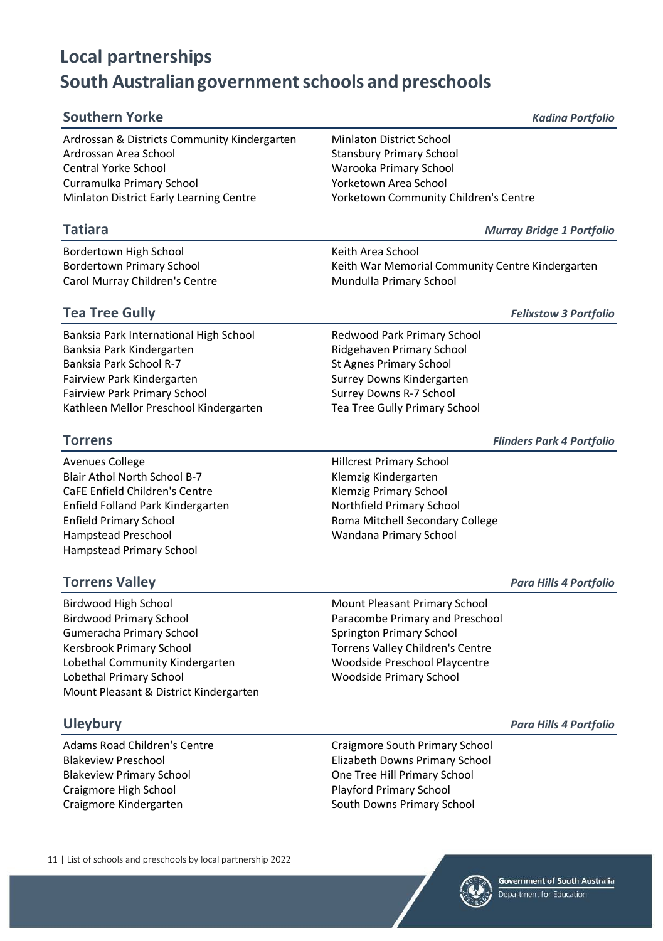| <b>Southern Yorke</b>                        | <b>Kadina Portfolio</b>               |
|----------------------------------------------|---------------------------------------|
| Ardrossan & Districts Community Kindergarten | <b>Minlaton District School</b>       |
| Ardrossan Area School                        | <b>Stansbury Primary School</b>       |
| <b>Central Yorke School</b>                  | Warooka Primary School                |
| Curramulka Primary School                    | Yorketown Area School                 |
| Minlaton District Early Learning Centre      | Yorketown Community Children's Centre |

Bordertown High School Keith Area School Carol Murray Children's Centre Mundulla Primary School

Bordertown Primary School **Keith War Memorial Community Centre Kindergarten** 

### **Tea Tree Gully** *Felixstow 3 Portfolio*

Banksia Park International High School Redwood Park Primary School Banksia Park Kindergarten **Ridgehaven Primary School** Banksia Park School R-7 St Agnes Primary School Fairview Park Kindergarten Surrey Downs Kindergarten Fairview Park Primary School Surrey Downs R-7 School Kathleen Mellor Preschool Kindergarten Tea Tree Gully Primary School

- Avenues College **Hillcrest Primary School** Blair Athol North School B-7 Klemzig Kindergarten CaFE Enfield Children's Centre Klemzig Primary School Enfield Folland Park Kindergarten Northfield Primary School Hampstead Preschool Wandana Primary School Hampstead Primary School
- Enfield Primary School Roma Mitchell Secondary College

### **Torrens Valley** *Para Hills 4 Portfolio*

Birdwood High School **Mount Pleasant Primary School** Mount Pleasant Primary School Birdwood Primary School **Paracombe Primary and Preschool** Paracombe Primary and Preschool Gumeracha Primary School Springton Primary School Kersbrook Primary School Torrens Valley Children's Centre Lobethal Community Kindergarten Moodside Preschool Playcentre Lobethal Primary School Woodside Primary School Mount Pleasant & District Kindergarten

### **Uleybury** *Para Hills 4 Portfolio*

Blakeview Primary School One Tree Hill Primary School Craigmore High School **Playford Primary School** Playford Primary School Craigmore Kindergarten South Downs Primary School

Adams Road Children's Centre Craigmore South Primary School Blakeview Preschool Elizabeth Downs Primary School

11 | List of schools and preschools by local partnership 2022



**Torrens** *Flinders Park 4 Portfolio*

**Tatiara** *Murray Bridge 1 Portfolio*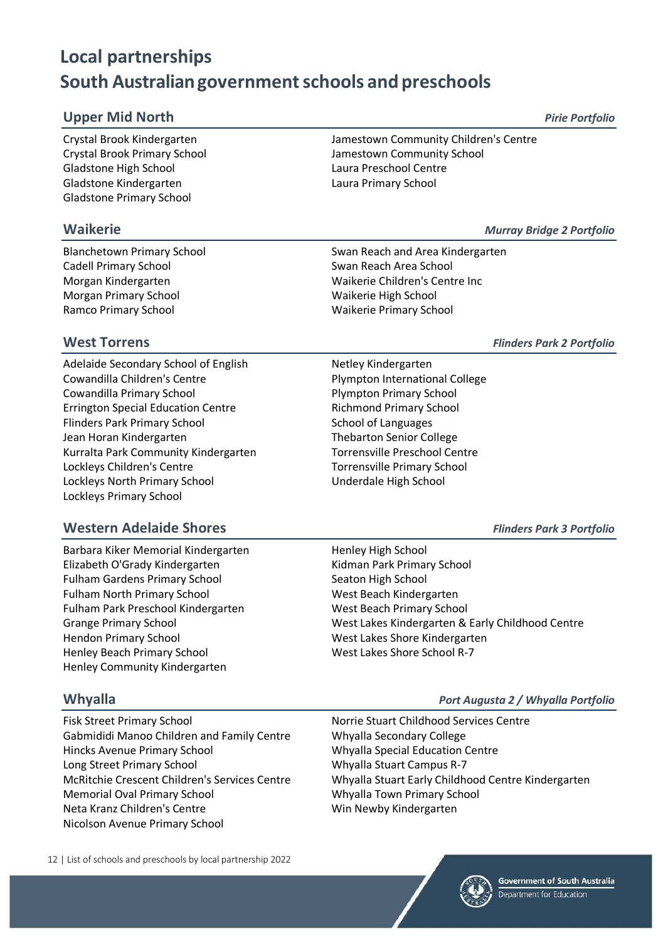### **Upper Mid North** *Pirie Portfolio*

Crystal Brook Kindergarten Jamestown Community Children's Centre Gladstone High School **Laura Preschool Centre** Gladstone Kindergarten Laura Primary School Gladstone Primary School

Cadell Primary School Swan Reach Area School Morgan Primary School New York Waikerie High School Ramco Primary School **Waikerie Primary School** Waikerie Primary School

# Crystal Brook Primary School Jamestown Community School

**Waikerie** *Murray Bridge 2 Portfolio*

Blanchetown Primary School Swan Reach and Area Kindergarten Morgan Kindergarten Waikerie Children's Centre Inc

Adelaide Secondary School of English Netley Kindergarten Cowandilla Children's Centre **Plympton International College** Cowandilla Primary School **Plympton Primary School** Plympton Primary School Errington Special Education Centre **Richmond Primary School** Flinders Park Primary School School School of Languages Jean Horan Kindergarten Thebarton Senior College Kurralta Park Community Kindergarten Torrensville Preschool Centre Lockleys Children's Centre Torrensville Primary School Lockleys North Primary School Underdale High School Lockleys Primary School

### **Western Adelaide Shores** *Flinders Park 3 Portfolio*

Barbara Kiker Memorial Kindergarten Henley High School Elizabeth O'Grady Kindergarten Kidman Park Primary School Fulham Gardens Primary School Seaton High School Seaton High School Fulham North Primary School West Beach Kindergarten Fulham Park Preschool Kindergarten West Beach Primary School Hendon Primary School West Lakes Shore Kindergarten Henley Beach Primary School West Lakes Shore School R-7 Henley Community Kindergarten

Fisk Street Primary School Norrie Stuart Childhood Services Centre Gabmididi Manoo Children and Family Centre Whyalla Secondary College Hincks Avenue Primary School Whyalla Special Education Centre Long Street Primary School Whyalla Stuart Campus R-7 Memorial Oval Primary School Whyalla Town Primary School Neta Kranz Children's Centre Win Newby Kindergarten Nicolson Avenue Primary School

12 | List of schools and preschools by local partnership 2022

### **West Torrens** *Flinders Park 2 Portfolio*

Grange Primary School West Lakes Kindergarten & Early Childhood Centre

### **Whyalla** *Port Augusta 2 / Whyalla Portfolio*

McRitchie Crescent Children's Services Centre Whyalla Stuart Early Childhood Centre Kindergarten